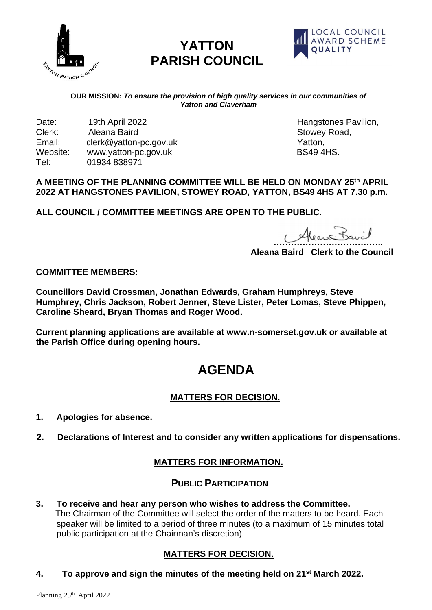

# **YATTON PARISH COUNCIL**



#### **OUR MISSION:** *To ensure the provision of high quality services in our communities of Yatton and Claverham*

Date: 19th April 2022 **19th April 2022** Hangstones Pavilion, Clerk: 19th April 2022 19th American Clerk: 19th Aleana Baird Email: clerk@yatton-pc.gov.uk<br>
Website: www.vatton-pc.gov.uk <br>
Website: www.vatton-pc.gov.uk Website: www.yatton-pc.gov.uk Tel: 01934 838971

Stowey Road,

#### **A MEETING OF THE PLANNING COMMITTEE WILL BE HELD ON MONDAY 25 th APRIL 2022 AT HANGSTONES PAVILION, STOWEY ROAD, YATTON, BS49 4HS AT 7.30 p.m.**

**ALL COUNCIL / COMMITTEE MEETINGS ARE OPEN TO THE PUBLIC.**

Alean Bavil

**Aleana Baird - Clerk to the Council**

**COMMITTEE MEMBERS:**

**Councillors David Crossman, Jonathan Edwards, Graham Humphreys, Steve Humphrey, Chris Jackson, Robert Jenner, Steve Lister, Peter Lomas, Steve Phippen, Caroline Sheard, Bryan Thomas and Roger Wood.** 

**Current planning applications are available at www.n-somerset.gov.uk or available at the Parish Office during opening hours.**

# **AGENDA**

# **MATTERS FOR DECISION.**

- **1. Apologies for absence.**
- **2. Declarations of Interest and to consider any written applications for dispensations.**

# **MATTERS FOR INFORMATION.**

#### **PUBLIC PARTICIPATION**

**3. To receive and hear any person who wishes to address the Committee.** The Chairman of the Committee will select the order of the matters to be heard. Each speaker will be limited to a period of three minutes (to a maximum of 15 minutes total public participation at the Chairman's discretion).

# **MATTERS FOR DECISION.**

**4. To approve and sign the minutes of the meeting held on 21 st March 2022.**